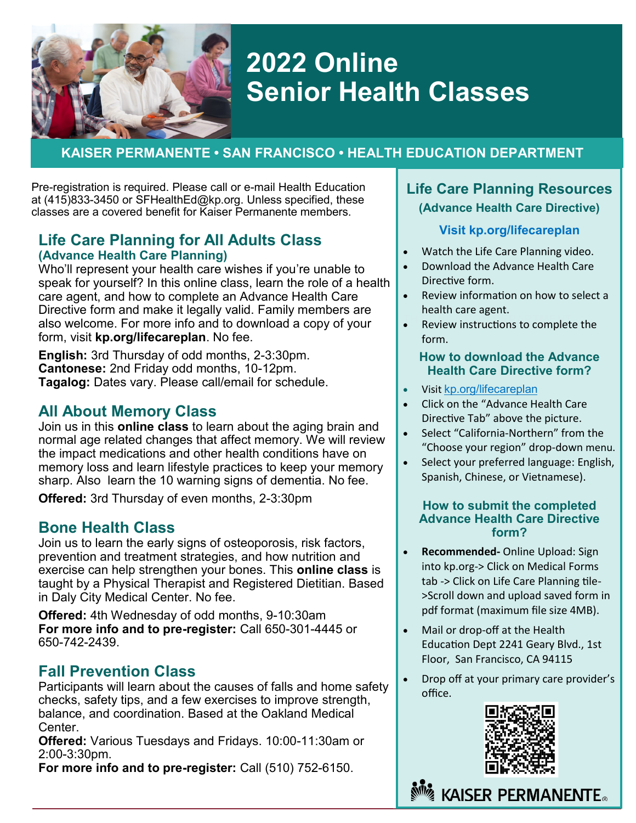

# **2022 Online Senior Health Classes**

## **KAISER PERMANENTE • SAN FRANCISCO • HEALTH EDUCATION DEPARTMENT**

Pre-registration is required. Please call or e-mail Health Education at (415)833-3450 or SFHealthEd@kp.org. Unless specified, these classes are a covered benefit for Kaiser Permanente members.

### **Life Care Planning for All Adults Class (Advance Health Care Planning)**

also welcome. For more info and to download a copy of your  $\|\cdot\|$  Review instructions to complet Who'll represent your health care wishes if you're unable to speak for yourself? In this online class, learn the role of a health care agent, and how to complete an Advance Health Care Directive form and make it legally valid. Family members are form, visit **kp.org/lifecareplan**. No fee.

**English:** 3rd Thursday of odd months, 2-3:30pm. **Cantonese:** 2nd Friday odd months, 10-12pm. **Tagalog:** Dates vary. Please call/email for schedule.

## **All About Memory Class**

Join us in this **online class** to learn about the aging brain and normal age related changes that affect memory. We will review the impact medications and other health conditions have on memory loss and learn lifestyle practices to keep your memory sharp. Also learn the 10 warning signs of dementia. No fee.

**Offered:** 3rd Thursday of even months, 2-3:30pm

## **Bone Health Class**

Join us to learn the early signs of osteoporosis, risk factors, prevention and treatment strategies, and how nutrition and exercise can help strengthen your bones. This **online class** is taught by a Physical Therapist and Registered Dietitian. Based in Daly City Medical Center. No fee.

**Offered:** 4th Wednesday of odd months, 9-10:30am **For more info and to pre-register:** Call 650-301-4445 or 650-742-2439.

## **Fall Prevention Class**

Participants will learn about the causes of falls and home safety checks, safety tips, and a few exercises to improve strength, balance, and coordination. Based at the Oakland Medical Center.

**Offered:** Various Tuesdays and Fridays. 10:00-11:30am or 2:00-3:30pm.

**For more info and to pre-register:** Call (510) 752-6150.

### **Life Care Planning Resources (Advance Health Care Directive)**

### **Visit kp.org/lifecareplan**

- Watch the Life Care Planning video.
- Download the Advance Health Care Directive form.
- Review information on how to select a health care agent.
- Review instructions to complete the form.

#### **How to download the Advance Health Care Directive form?**

- Visit kp.org/lifecareplan
- Click on the "Advance Health Care Directive Tab" above the picture.
- Select "California-Northern" from the "Choose your region" drop-down menu.
- Select your preferred language: English, Spanish, Chinese, or Vietnamese).

### **How to submit the completed Advance Health Care Directive form?**

- **Recommended-** Online Upload: Sign into kp.org-> Click on Medical Forms tab -> Click on Life Care Planning tile- >Scroll down and upload saved form in pdf format (maximum file size 4MB).
- Mail or drop-off at the Health Education Dept 2241 Geary Blvd., 1st Floor, San Francisco, CA 94115
- Drop off at your primary care provider's office.



**KAISER PERMANENTE**